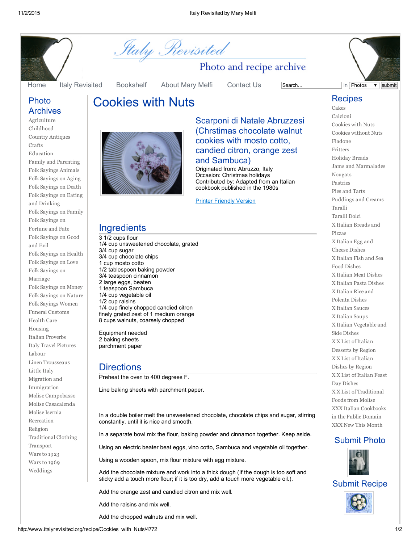

#### [Home](http://www.italyrevisited.org/) Italy [Revisited](http://www.italyrevisited.org/revisit) [Bookshelf](http://www.italyrevisited.org/books) [About](http://www.italyrevisited.org/aboutauthor) Mary Melfi [Contact](http://www.italyrevisited.org/contactus) Us Search... in Photos v submit

#### Photo Archives

[Agriculture](http://www.italyrevisited.org/photo/Agriculture) [Childhood](http://www.italyrevisited.org/photo/Childhood) Country [Antiques](http://www.italyrevisited.org/photo/Country_Antiques) [Crafts](http://www.italyrevisited.org/photo/Crafts) [Education](http://www.italyrevisited.org/photo/Education) Family and [Parenting](http://www.italyrevisited.org/photo/Family_and_Parenting) Folk Sayings [Animals](http://www.italyrevisited.org/photo/Folk_Sayings_Animals) Folk [Sayings](http://www.italyrevisited.org/photo/Folk_Sayings_on_Aging) on Aging Folk [Sayings](http://www.italyrevisited.org/photo/Folk_Sayings_on_Death) on Death Folk Sayings on Eating and [Drinking](http://www.italyrevisited.org/photo/Folk_Sayings_on_Eating_and_Drinking) Folk [Sayings](http://www.italyrevisited.org/photo/Folk_Sayings_on_Family) on Family Folk Sayings on [Fortune](http://www.italyrevisited.org/photo/Folk_Sayings_on_Fortune_and_Fate) and Fate Folk [Sayings](http://www.italyrevisited.org/photo/Folk_Sayings_on_Good_and_Evil) on Good and Evil Folk [Sayings](http://www.italyrevisited.org/photo/Folk_Sayings_on_Health) on Health Folk [Sayings](http://www.italyrevisited.org/photo/Folk_Sayings_on_Love) on Love Folk Sayings on [Marriage](http://www.italyrevisited.org/photo/Folk_Sayings_on_Marriage) Folk [Sayings](http://www.italyrevisited.org/photo/Folk_Sayings_on_Money) on Money Folk [Sayings](http://www.italyrevisited.org/photo/Folk_Sayings_on_Nature) on Nature Folk Sayings [Women](http://www.italyrevisited.org/photo/Folk_Sayings_Women) Funeral [Customs](http://www.italyrevisited.org/photo/Funeral_Customs) [Health](http://www.italyrevisited.org/photo/Health_Care) Care [Housing](http://www.italyrevisited.org/photo/Housing) Italian [Proverbs](http://www.italyrevisited.org/photo/Italian_Proverbs) Italy Travel [Pictures](http://www.italyrevisited.org/photo/Italy_Travel_Pictures) [Labour](http://www.italyrevisited.org/photo/Labour) Linen [Trousseaus](http://www.italyrevisited.org/photo/Linen_Trousseaus) [Little](http://www.italyrevisited.org/photo/Little_Italy) Italy Migration and [Immigration](http://www.italyrevisited.org/photo/Migration_and_Immigration) Molise [Campobasso](http://www.italyrevisited.org/photo/Molise_Campobasso) Molise [Casacalenda](http://www.italyrevisited.org/photo/Molise_Casacalenda) Molise [Isernia](http://www.italyrevisited.org/photo/Molise_Isernia) [Recreation](http://www.italyrevisited.org/photo/Recreation) [Religion](http://www.italyrevisited.org/photo/Religion) [Traditional](http://www.italyrevisited.org/photo/Traditional_Clothing) Clothing [Transport](http://www.italyrevisited.org/photo/Transport) [Wars](http://www.italyrevisited.org/photo/Wars_to_1923) to 1923 [Wars](http://www.italyrevisited.org/photo/Wars_to_1969) to 1969 [Weddings](http://www.italyrevisited.org/photo/Weddings)



Cookies with Nuts

*Staly Revisited* 

### Scarponi di Natale Abruzzesi (Chrstimas chocolate walnut cookies with mosto cotto, candied citron, orange zest and Sambuca)

Photo and recipe archive

Originated from: Abruzzo, Italy Occasion: Christmas holidays Contributed by: Adapted from an Italian cookbook published in the 1980s

**Printer [Friendly](javascript:showLarge() Version** 

## **Ingredients**

3 1/2 cups flour 1/4 cup unsweetened chocolate, grated 3/4 cup sugar 3/4 cup chocolate chips 1 cup mosto cotto 1/2 tablespoon baking powder 3/4 teaspoon cinnamon 2 large eggs, beaten 1 teaspoon Sambuca 1/4 cup vegetable oil 1/2 cup raisins 1/4 cup finely chopped candied citron finely grated zest of 1 medium orange 8 cups walnuts, coarsely chopped

Equipment needed 2 baking sheets parchment paper

# **Directions**

Preheat the oven to 400 degrees F.

Line baking sheets with parchment paper.

In a double boiler melt the unsweetened chocolate, chocolate chips and sugar, stirring constantly, until it is nice and smooth. In a separate bowl mix the flour, baking powder and cinnamon together. Keep aside. Using an electric beater beat eggs, vino cotto, Sambuca and vegetable oil together. Using a wooden spoon, mix flour mixture with egg mixture. Add the chocolate mixture and work into a thick dough (If the dough is too soft and sticky add a touch more flour; if it is too dry, add a touch more vegetable oil.). Add the orange zest and candied citron and mix well.

Add the raisins and mix well.

Add the chopped walnuts and mix well.

#### **Recipes** [Cakes](http://www.italyrevisited.org/recipe/Cakes)

[Calcioni](http://www.italyrevisited.org/recipe/Calcioni) [Cookies](http://www.italyrevisited.org/recipe/Cookies_with_Nuts) with Nuts Cookies [without](http://www.italyrevisited.org/recipe/Cookies_without_Nuts) Nuts [Fiadone](http://www.italyrevisited.org/recipe/Fiadone) [Fritters](http://www.italyrevisited.org/recipe/Fritters) [Holiday](http://www.italyrevisited.org/recipe/Holiday_Breads) Breads Jams and [Marmalades](http://www.italyrevisited.org/recipe/Jams_and_Marmalades) [Nougats](http://www.italyrevisited.org/recipe/Nougats) [Pastries](http://www.italyrevisited.org/recipe/Pastries) Pies and [Tarts](http://www.italyrevisited.org/recipe/Pies_and_Tarts) [Puddings](http://www.italyrevisited.org/recipe/Puddings_and_Creams) and Creams [Taralli](http://www.italyrevisited.org/recipe/Taralli) [Taralli](http://www.italyrevisited.org/recipe/Taralli_Dolci) Dolci X Italian [Breads](http://www.italyrevisited.org/recipe/X_Italian_Breads_and_Pizzas) and Pizzas X Italian Egg and [Cheese](http://www.italyrevisited.org/recipe/X_Italian_Egg_and_Cheese_Dishes) Dishes X [Italian](http://www.italyrevisited.org/recipe/X_Italian_Fish_and_Sea_Food_Dishes) Fish and Sea Food Dishes X [Italian](http://www.italyrevisited.org/recipe/X_Italian_Meat_Dishes) Meat Dishes X [Italian](http://www.italyrevisited.org/recipe/X_Italian_Pasta_Dishes) Pasta Dishes X Italian Rice and [Polenta](http://www.italyrevisited.org/recipe/X_Italian_Rice_and_Polenta_Dishes) Dishes X [Italian](http://www.italyrevisited.org/recipe/X_Italian_Sauces) Sauces X [Italian](http://www.italyrevisited.org/recipe/X_Italian_Soups) Soups X Italian [Vegetable](http://www.italyrevisited.org/recipe/X_Italian_Vegetable_and_Side_Dishes) and Side Dishes X X List of Italian [Desserts](http://www.italyrevisited.org/recipe/X_X_List_of_Italian_Desserts_by_Region) by Region X X List of Italian Dishes by [Region](http://www.italyrevisited.org/recipe/X_X_List_of_Italian_Dishes_by_Region) X X List of [Italian](http://www.italyrevisited.org/recipe/X_X_List_of_Italian_Feast_Day_Dishes) Feast Day Dishes X X List of [Traditional](http://www.italyrevisited.org/recipe/X_X_List_of_Traditional_Foods_from_Molise) Foods from Molise XXX Italian [Cookbooks](http://www.italyrevisited.org/recipe/XXX_Italian_Cookbooks_in_the_Public_Domain) in the Public Domain XXX New This [Month](http://www.italyrevisited.org/recipe/XXX_New_This_Month)

### Submit Photo